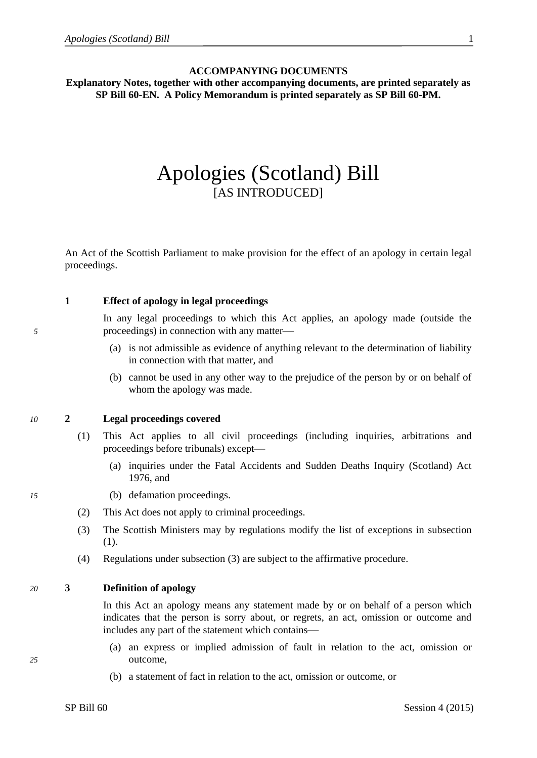#### **ACCOMPANYING DOCUMENTS**

**Explanatory Notes, together with other accompanying documents, are printed separately as SP Bill 60-EN. A Policy Memorandum is printed separately as SP Bill 60-PM.**

## Apologies (Scotland) Bill [AS INTRODUCED]

An Act of the Scottish Parliament to make provision for the effect of an apology in certain legal proceedings.

## **1 Effect of apology in legal proceedings**

In any legal proceedings to which this Act applies, an apology made (outside the *5* proceedings) in connection with any matter

- (a) is not admissible as evidence of anything relevant to the determination of liability in connection with that matter, and
- (b) cannot be used in any other way to the prejudice of the person by or on behalf of whom the apology was made.

#### *10* **2 Legal proceedings covered**

- (1) This Act applies to all civil proceedings (including inquiries, arbitrations and proceedings before tribunals) except
	- (a) inquiries under the Fatal Accidents and Sudden Deaths Inquiry (Scotland) Act 1976, and
- *15* (b) defamation proceedings.
	- (2) This Act does not apply to criminal proceedings.
	- (3) The Scottish Ministers may by regulations modify the list of exceptions in subsection (1).
	- (4) Regulations under subsection (3) are subject to the affirmative procedure.

## *20* **3 Definition of apology**

In this Act an apology means any statement made by or on behalf of a person which indicates that the person is sorry about, or regrets, an act, omission or outcome and includes any part of the statement which contains

- (a) an express or implied admission of fault in relation to the act, omission or *25* outcome,
	- (b) a statement of fact in relation to the act, omission or outcome, or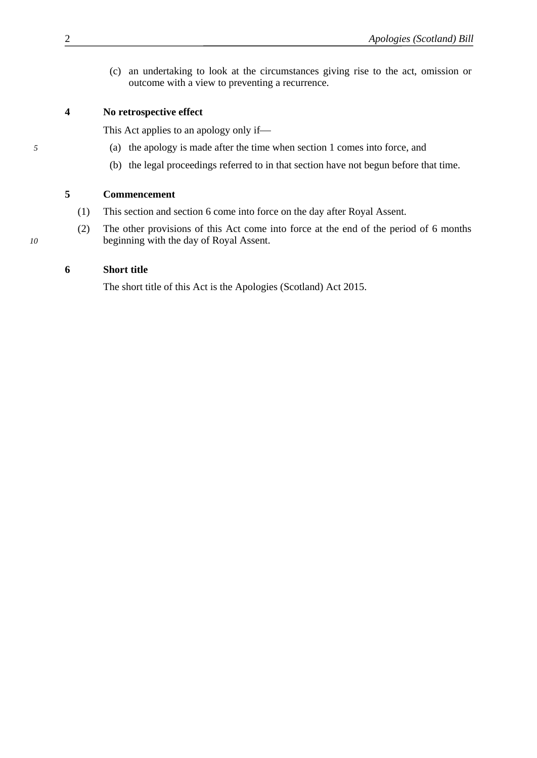(c) an undertaking to look at the circumstances giving rise to the act, omission or outcome with a view to preventing a recurrence.

## **4 No retrospective effect**

This Act applies to an apology only if

- *5* (a) the apology is made after the time when section 1 comes into force, and
	- (b) the legal proceedings referred to in that section have not begun before that time.

## **5 Commencement**

- (1) This section and section 6 come into force on the day after Royal Assent.
- (2) The other provisions of this Act come into force at the end of the period of 6 months *10* beginning with the day of Royal Assent.

## **6 Short title**

The short title of this Act is the Apologies (Scotland) Act 2015.